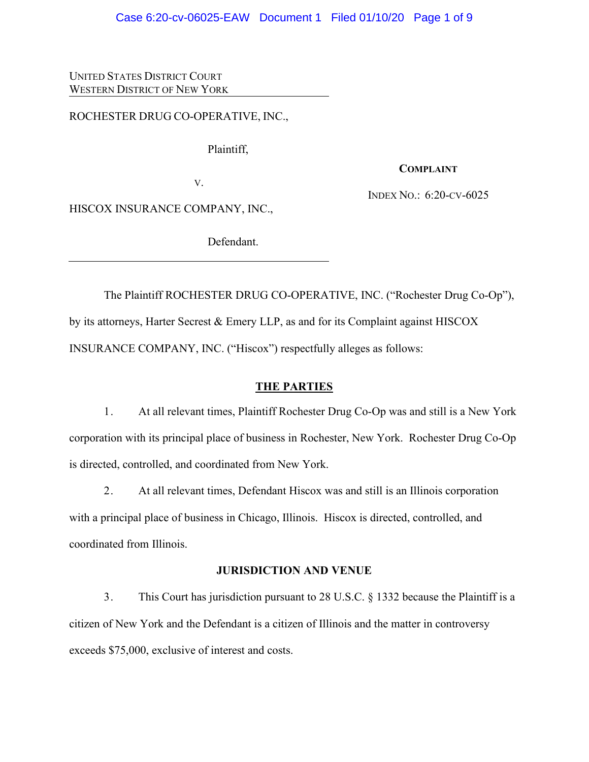### Case 6:20-cv-06025-EAW Document 1 Filed 01/10/20 Page 1 of 9

UNITED STATES DISTRICT COURT WESTERN DISTRICT OF NEW YORK

ROCHESTER DRUG CO-OPERATIVE, INC.,

Plaintiff,

**COMPLAINT**

V.

INDEX NO.: 6:20-CV-6025

HISCOX INSURANCE COMPANY, INC.,

Defendant.

The Plaintiff ROCHESTER DRUG CO-OPERATIVE, INC. ("Rochester Drug Co-Op"), by its attorneys, Harter Secrest & Emery LLP, as and for its Complaint against HISCOX INSURANCE COMPANY, INC. ("Hiscox") respectfully alleges as follows:

#### **THE PARTIES**

1. At all relevant times, Plaintiff Rochester Drug Co-Op was and still is a New York corporation with its principal place of business in Rochester, New York. Rochester Drug Co-Op is directed, controlled, and coordinated from New York.

2. At all relevant times, Defendant Hiscox was and still is an Illinois corporation with a principal place of business in Chicago, Illinois. Hiscox is directed, controlled, and coordinated from Illinois.

### **JURISDICTION AND VENUE**

3. This Court has jurisdiction pursuant to 28 U.S.C. § 1332 because the Plaintiff is a citizen of New York and the Defendant is a citizen of Illinois and the matter in controversy exceeds \$75,000, exclusive of interest and costs.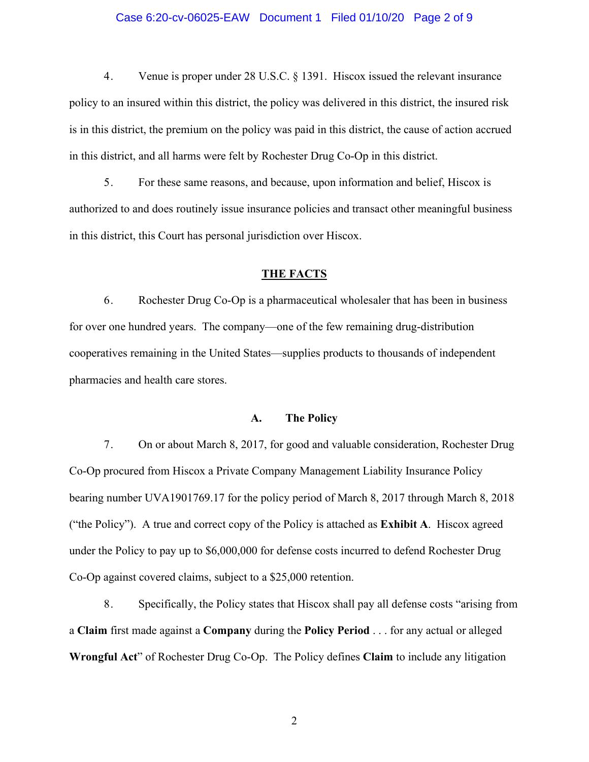#### Case 6:20-cv-06025-EAW Document 1 Filed 01/10/20 Page 2 of 9

4. Venue is proper under 28 U.S.C. § 1391. Hiscox issued the relevant insurance policy to an insured within this district, the policy was delivered in this district, the insured risk is in this district, the premium on the policy was paid in this district, the cause of action accrued in this district, and all harms were felt by Rochester Drug Co-Op in this district.

5. For these same reasons, and because, upon information and belief, Hiscox is authorized to and does routinely issue insurance policies and transact other meaningful business in this district, this Court has personal jurisdiction over Hiscox.

### **THE FACTS**

6. Rochester Drug Co-Op is a pharmaceutical wholesaler that has been in business for over one hundred years. The company—one of the few remaining drug-distribution cooperatives remaining in the United States—supplies products to thousands of independent pharmacies and health care stores.

### **A. The Policy**

7. On or about March 8, 2017, for good and valuable consideration, Rochester Drug Co-Op procured from Hiscox a Private Company Management Liability Insurance Policy bearing number UVA1901769.17 for the policy period of March 8, 2017 through March 8, 2018 ("the Policy"). A true and correct copy of the Policy is attached as **Exhibit A**. Hiscox agreed under the Policy to pay up to \$6,000,000 for defense costs incurred to defend Rochester Drug Co-Op against covered claims, subject to a \$25,000 retention.

8. Specifically, the Policy states that Hiscox shall pay all defense costs "arising from a **Claim** first made against a **Company** during the **Policy Period** . . . for any actual or alleged **Wrongful Act**" of Rochester Drug Co-Op. The Policy defines **Claim** to include any litigation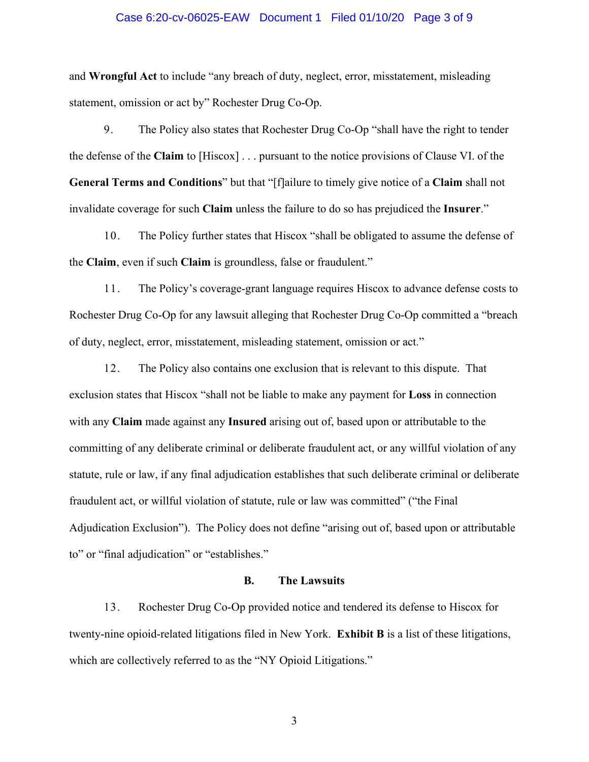#### Case 6:20-cv-06025-EAW Document 1 Filed 01/10/20 Page 3 of 9

and **Wrongful Act** to include "any breach of duty, neglect, error, misstatement, misleading statement, omission or act by" Rochester Drug Co-Op.

9. The Policy also states that Rochester Drug Co-Op "shall have the right to tender the defense of the **Claim** to [Hiscox] . . . pursuant to the notice provisions of Clause VI. of the **General Terms and Conditions**" but that "[f]ailure to timely give notice of a **Claim** shall not invalidate coverage for such **Claim** unless the failure to do so has prejudiced the **Insurer**."

10. The Policy further states that Hiscox "shall be obligated to assume the defense of the **Claim**, even if such **Claim** is groundless, false or fraudulent."

11. The Policy's coverage-grant language requires Hiscox to advance defense costs to Rochester Drug Co-Op for any lawsuit alleging that Rochester Drug Co-Op committed a "breach of duty, neglect, error, misstatement, misleading statement, omission or act."

12. The Policy also contains one exclusion that is relevant to this dispute. That exclusion states that Hiscox "shall not be liable to make any payment for **Loss** in connection with any **Claim** made against any **Insured** arising out of, based upon or attributable to the committing of any deliberate criminal or deliberate fraudulent act, or any willful violation of any statute, rule or law, if any final adjudication establishes that such deliberate criminal or deliberate fraudulent act, or willful violation of statute, rule or law was committed" ("the Final Adjudication Exclusion"). The Policy does not define "arising out of, based upon or attributable to" or "final adjudication" or "establishes."

### **B. The Lawsuits**

13. Rochester Drug Co-Op provided notice and tendered its defense to Hiscox for twenty-nine opioid-related litigations filed in New York. **Exhibit B** is a list of these litigations, which are collectively referred to as the "NY Opioid Litigations."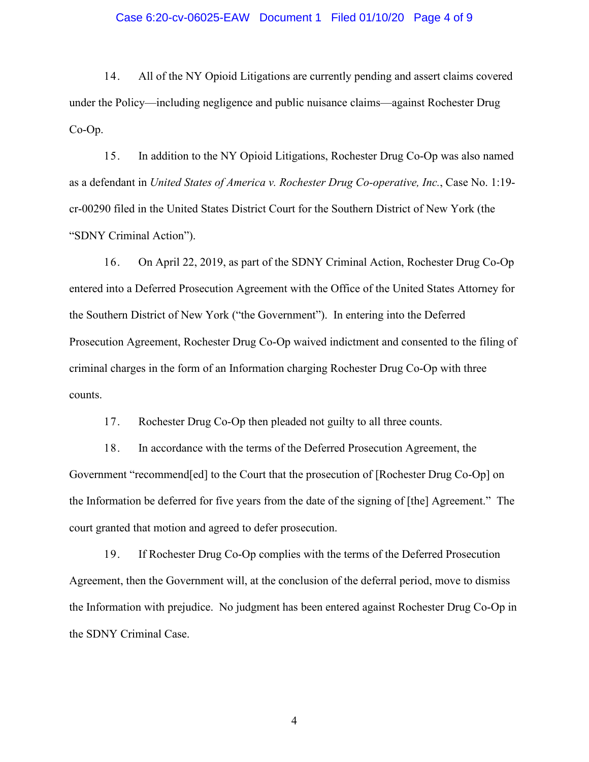#### Case 6:20-cv-06025-EAW Document 1 Filed 01/10/20 Page 4 of 9

14. All of the NY Opioid Litigations are currently pending and assert claims covered under the Policy—including negligence and public nuisance claims—against Rochester Drug Co-Op.

15. In addition to the NY Opioid Litigations, Rochester Drug Co-Op was also named as a defendant in *United States of America v. Rochester Drug Co-operative, Inc.*, Case No. 1:19 cr-00290 filed in the United States District Court for the Southern District of New York (the "SDNY Criminal Action").

16. On April 22, 2019, as part of the SDNY Criminal Action, Rochester Drug Co-Op entered into a Deferred Prosecution Agreement with the Office of the United States Attorney for the Southern District of New York ("the Government"). In entering into the Deferred Prosecution Agreement, Rochester Drug Co-Op waived indictment and consented to the filing of criminal charges in the form of an Information charging Rochester Drug Co-Op with three counts.

17. Rochester Drug Co-Op then pleaded not guilty to all three counts.

18. In accordance with the terms of the Deferred Prosecution Agreement, the Government "recommend[ed] to the Court that the prosecution of [Rochester Drug Co-Op] on the Information be deferred for five years from the date of the signing of [the] Agreement." The court granted that motion and agreed to defer prosecution.

19. If Rochester Drug Co-Op complies with the terms of the Deferred Prosecution Agreement, then the Government will, at the conclusion of the deferral period, move to dismiss the Information with prejudice. No judgment has been entered against Rochester Drug Co-Op in the SDNY Criminal Case.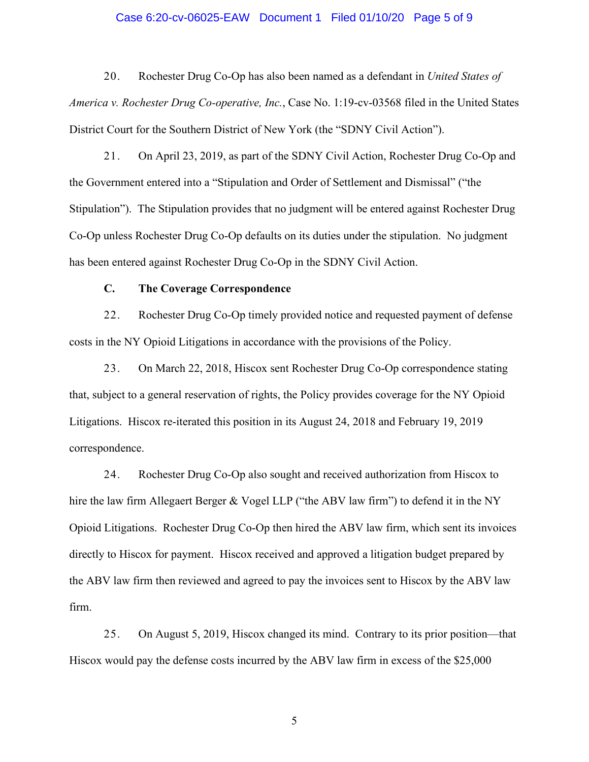#### Case 6:20-cv-06025-EAW Document 1 Filed 01/10/20 Page 5 of 9

20. Rochester Drug Co-Op has also been named as a defendant in *United States of America v. Rochester Drug Co-operative, Inc.*, Case No. 1:19-cv-03568 filed in the United States District Court for the Southern District of New York (the "SDNY Civil Action").

21. On April 23, 2019, as part of the SDNY Civil Action, Rochester Drug Co-Op and the Government entered into a "Stipulation and Order of Settlement and Dismissal" ("the Stipulation"). The Stipulation provides that no judgment will be entered against Rochester Drug Co-Op unless Rochester Drug Co-Op defaults on its duties under the stipulation. No judgment has been entered against Rochester Drug Co-Op in the SDNY Civil Action.

## **C. The Coverage Correspondence**

22. Rochester Drug Co-Op timely provided notice and requested payment of defense costs in the NY Opioid Litigations in accordance with the provisions of the Policy.

23. On March 22, 2018, Hiscox sent Rochester Drug Co-Op correspondence stating that, subject to a general reservation of rights, the Policy provides coverage for the NY Opioid Litigations. Hiscox re-iterated this position in its August 24, 2018 and February 19, 2019 correspondence.

24. Rochester Drug Co-Op also sought and received authorization from Hiscox to hire the law firm Allegaert Berger & Vogel LLP ("the ABV law firm") to defend it in the NY Opioid Litigations. Rochester Drug Co-Op then hired the ABV law firm, which sent its invoices directly to Hiscox for payment. Hiscox received and approved a litigation budget prepared by the ABV law firm then reviewed and agreed to pay the invoices sent to Hiscox by the ABV law firm.

25. On August 5, 2019, Hiscox changed its mind. Contrary to its prior position—that Hiscox would pay the defense costs incurred by the ABV law firm in excess of the \$25,000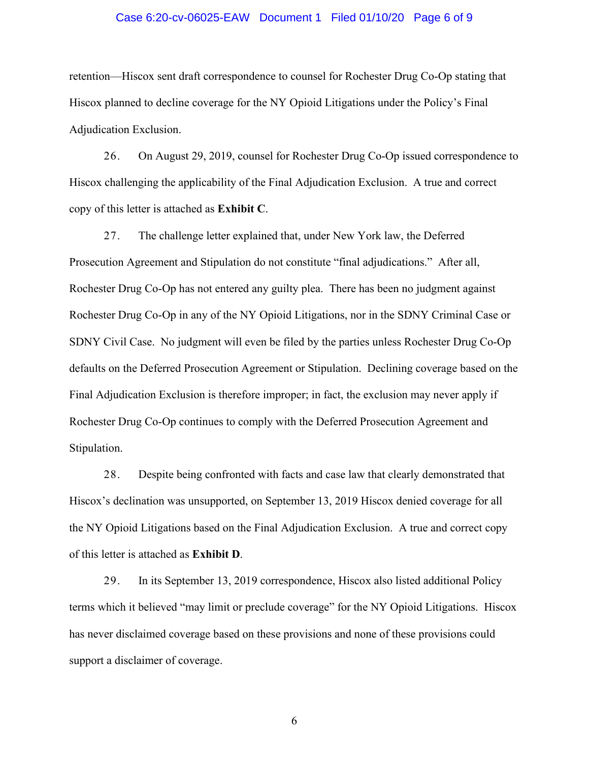#### Case 6:20-cv-06025-EAW Document 1 Filed 01/10/20 Page 6 of 9

retention—Hiscox sent draft correspondence to counsel for Rochester Drug Co-Op stating that Hiscox planned to decline coverage for the NY Opioid Litigations under the Policy's Final Adjudication Exclusion.

26. On August 29, 2019, counsel for Rochester Drug Co-Op issued correspondence to Hiscox challenging the applicability of the Final Adjudication Exclusion. A true and correct copy of this letter is attached as **Exhibit C**.

27. The challenge letter explained that, under New York law, the Deferred Prosecution Agreement and Stipulation do not constitute "final adjudications." After all, Rochester Drug Co-Op has not entered any guilty plea. There has been no judgment against Rochester Drug Co-Op in any of the NY Opioid Litigations, nor in the SDNY Criminal Case or SDNY Civil Case. No judgment will even be filed by the parties unless Rochester Drug Co-Op defaults on the Deferred Prosecution Agreement or Stipulation. Declining coverage based on the Final Adjudication Exclusion is therefore improper; in fact, the exclusion may never apply if Rochester Drug Co-Op continues to comply with the Deferred Prosecution Agreement and Stipulation.

28. Despite being confronted with facts and case law that clearly demonstrated that Hiscox's declination was unsupported, on September 13, 2019 Hiscox denied coverage for all the NY Opioid Litigations based on the Final Adjudication Exclusion. A true and correct copy of this letter is attached as **Exhibit D**.

29. In its September 13, 2019 correspondence, Hiscox also listed additional Policy terms which it believed "may limit or preclude coverage" for the NY Opioid Litigations. Hiscox has never disclaimed coverage based on these provisions and none of these provisions could support a disclaimer of coverage.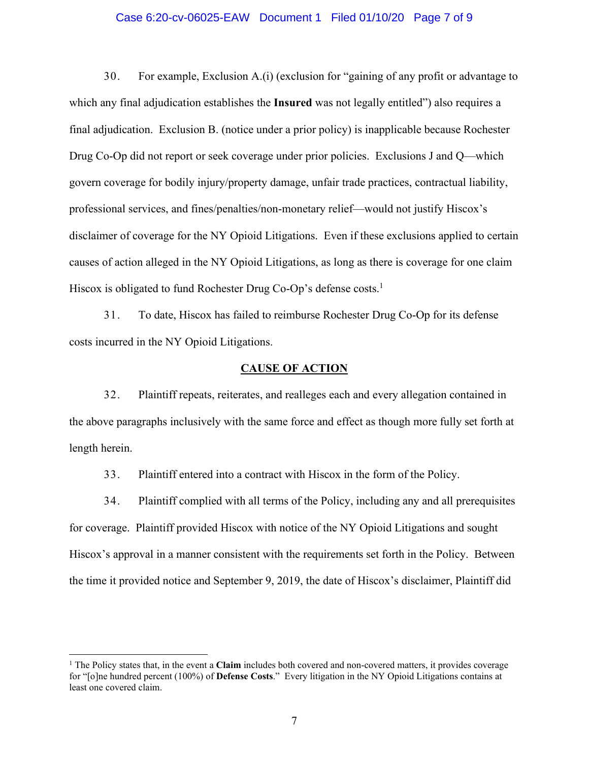#### Case 6:20-cv-06025-EAW Document 1 Filed 01/10/20 Page 7 of 9

30. For example, Exclusion A.(i) (exclusion for "gaining of any profit or advantage to which any final adjudication establishes the **Insured** was not legally entitled") also requires a final adjudication. Exclusion B. (notice under a prior policy) is inapplicable because Rochester Drug Co-Op did not report or seek coverage under prior policies. Exclusions J and Q—which govern coverage for bodily injury/property damage, unfair trade practices, contractual liability, professional services, and fines/penalties/non-monetary relief—would not justify Hiscox's disclaimer of coverage for the NY Opioid Litigations. Even if these exclusions applied to certain causes of action alleged in the NY Opioid Litigations, as long as there is coverage for one claim Hiscox is obligated to fund Rochester Drug Co-Op's defense costs.<sup>1</sup>

31. To date, Hiscox has failed to reimburse Rochester Drug Co-Op for its defense costs incurred in the NY Opioid Litigations.

### **CAUSE OF ACTION**

32. Plaintiff repeats, reiterates, and realleges each and every allegation contained in the above paragraphs inclusively with the same force and effect as though more fully set forth at length herein.

33. Plaintiff entered into a contract with Hiscox in the form of the Policy.

34. Plaintiff complied with all terms of the Policy, including any and all prerequisites for coverage. Plaintiff provided Hiscox with notice of the NY Opioid Litigations and sought Hiscox's approval in a manner consistent with the requirements set forth in the Policy. Between the time it provided notice and September 9, 2019, the date of Hiscox's disclaimer, Plaintiff did

<sup>&</sup>lt;sup>1</sup> The Policy states that, in the event a **Claim** includes both covered and non-covered matters, it provides coverage for "[o]ne hundred percent (100%) of **Defense Costs**." Every litigation in the NY Opioid Litigations contains at least one covered claim.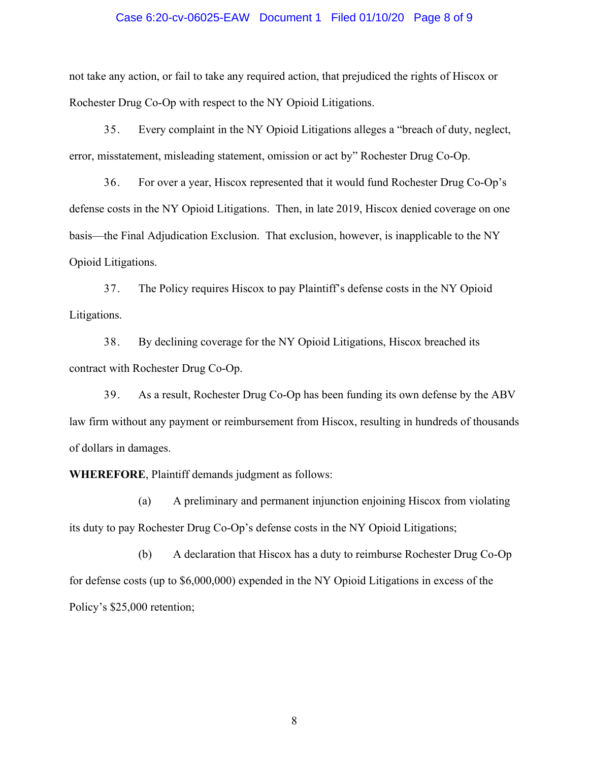#### Case 6:20-cv-06025-EAW Document 1 Filed 01/10/20 Page 8 of 9

not take any action, or fail to take any required action, that prejudiced the rights of Hiscox or Rochester Drug Co-Op with respect to the NY Opioid Litigations.

35. Every complaint in the NY Opioid Litigations alleges a "breach of duty, neglect, error, misstatement, misleading statement, omission or act by" Rochester Drug Co-Op.

36. For over a year, Hiscox represented that it would fund Rochester Drug Co-Op's defense costs in the NY Opioid Litigations. Then, in late 2019, Hiscox denied coverage on one basis—the Final Adjudication Exclusion. That exclusion, however, is inapplicable to the NY Opioid Litigations.

37. The Policy requires Hiscox to pay Plaintiff's defense costs in the NY Opioid Litigations.

38. By declining coverage for the NY Opioid Litigations, Hiscox breached its contract with Rochester Drug Co-Op.

39. As a result, Rochester Drug Co-Op has been funding its own defense by the ABV law firm without any payment or reimbursement from Hiscox, resulting in hundreds of thousands of dollars in damages.

**WHEREFORE**, Plaintiff demands judgment as follows:

(a) A preliminary and permanent injunction enjoining Hiscox from violating its duty to pay Rochester Drug Co-Op's defense costs in the NY Opioid Litigations;

(b) A declaration that Hiscox has a duty to reimburse Rochester Drug Co-Op for defense costs (up to \$6,000,000) expended in the NY Opioid Litigations in excess of the Policy's \$25,000 retention;